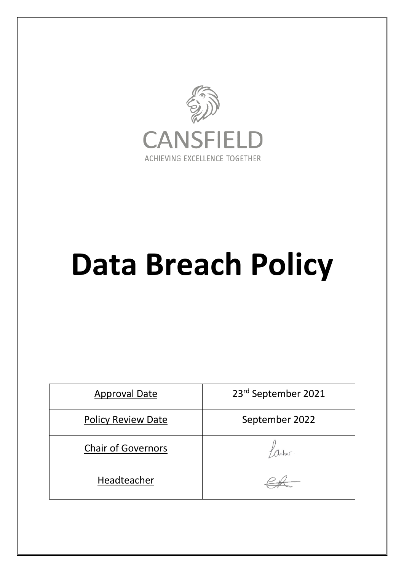

# **Data Breach Policy**

| <b>Approval Date</b>      | 23rd September 2021 |
|---------------------------|---------------------|
| <b>Policy Review Date</b> | September 2022      |
| <b>Chair of Governors</b> |                     |
| Headteacher               |                     |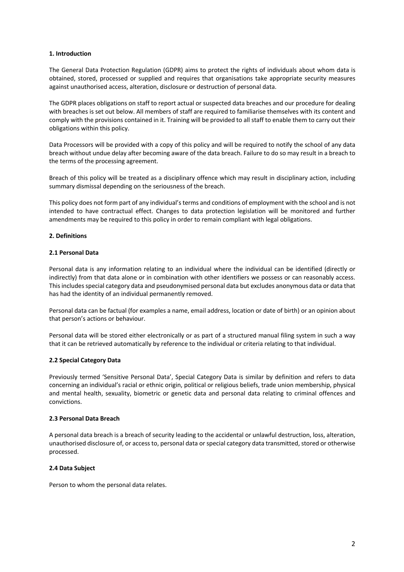### **1. Introduction**

The General Data Protection Regulation (GDPR) aims to protect the rights of individuals about whom data is obtained, stored, processed or supplied and requires that organisations take appropriate security measures against unauthorised access, alteration, disclosure or destruction of personal data.

The GDPR places obligations on staff to report actual or suspected data breaches and our procedure for dealing with breaches is set out below. All members of staff are required to familiarise themselves with its content and comply with the provisions contained in it. Training will be provided to all staff to enable them to carry out their obligations within this policy.

Data Processors will be provided with a copy of this policy and will be required to notify the school of any data breach without undue delay after becoming aware of the data breach. Failure to do so may result in a breach to the terms of the processing agreement.

Breach of this policy will be treated as a disciplinary offence which may result in disciplinary action, including summary dismissal depending on the seriousness of the breach.

This policy does not form part of any individual's terms and conditions of employment with the school and is not intended to have contractual effect. Changes to data protection legislation will be monitored and further amendments may be required to this policy in order to remain compliant with legal obligations.

# **2. Definitions**

# **2.1 Personal Data**

Personal data is any information relating to an individual where the individual can be identified (directly or indirectly) from that data alone or in combination with other identifiers we possess or can reasonably access. This includes special category data and pseudonymised personal data but excludes anonymous data or data that has had the identity of an individual permanently removed.

Personal data can be factual (for examples a name, email address, location or date of birth) or an opinion about that person's actions or behaviour.

Personal data will be stored either electronically or as part of a structured manual filing system in such a way that it can be retrieved automatically by reference to the individual or criteria relating to that individual.

### **2.2 Special Category Data**

Previously termed 'Sensitive Personal Data', Special Category Data is similar by definition and refers to data concerning an individual's racial or ethnic origin, political or religious beliefs, trade union membership, physical and mental health, sexuality, biometric or genetic data and personal data relating to criminal offences and convictions.

### **2.3 Personal Data Breach**

A personal data breach is a breach of security leading to the accidental or unlawful destruction, loss, alteration, unauthorised disclosure of, or access to, personal data or special category data transmitted, stored or otherwise processed.

### **2.4 Data Subject**

Person to whom the personal data relates.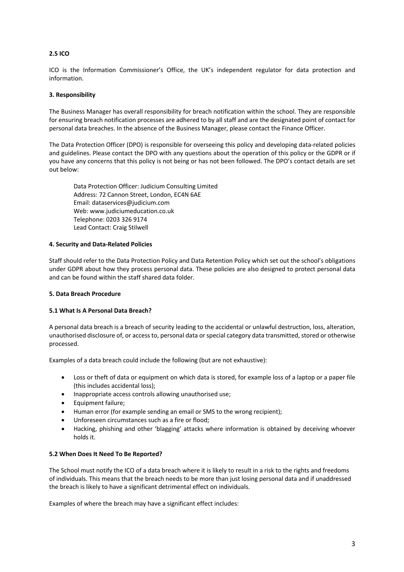# **2.5 ICO**

ICO is the Information Commissioner's Office, the UK's independent regulator for data protection and information.

# **3. Responsibility**

The Business Manager has overall responsibility for breach notification within the school. They are responsible for ensuring breach notification processes are adhered to by all staff and are the designated point of contact for personal data breaches. In the absence of the Business Manager, please contact the Finance Officer.

The Data Protection Officer (DPO) is responsible for overseeing this policy and developing data-related policies and guidelines. Please contact the DPO with any questions about the operation of this policy or the GDPR or if you have any concerns that this policy is not being or has not been followed. The DPO's contact details are set out below:

Data Protection Officer: Judicium Consulting Limited Address: 72 Cannon Street, London, EC4N 6AE Email: dataservices@judicium.com Web: www.judiciumeducation.co.uk Telephone: 0203 326 9174 Lead Contact: Craig Stilwell

# **4. Security and Data-Related Policies**

Staff should refer to the Data Protection Policy and Data Retention Policy which set out the school's obligations under GDPR about how they process personal data. These policies are also designed to protect personal data and can be found within the staff shared data folder.

### **5. Data Breach Procedure**

### **5.1 What Is A Personal Data Breach?**

A personal data breach is a breach of security leading to the accidental or unlawful destruction, loss, alteration, unauthorised disclosure of, or access to, personal data or special category data transmitted, stored or otherwise processed.

Examples of a data breach could include the following (but are not exhaustive):

- Loss or theft of data or equipment on which data is stored, for example loss of a laptop or a paper file (this includes accidental loss);
- Inappropriate access controls allowing unauthorised use;
- Equipment failure;
- Human error (for example sending an email or SMS to the wrong recipient);
- Unforeseen circumstances such as a fire or flood;
- Hacking, phishing and other 'blagging' attacks where information is obtained by deceiving whoever holds it.

### **5.2 When Does It Need To Be Reported?**

The School must notify the ICO of a data breach where it is likely to result in a risk to the rights and freedoms of individuals. This means that the breach needs to be more than just losing personal data and if unaddressed the breach is likely to have a significant detrimental effect on individuals.

Examples of where the breach may have a significant effect includes: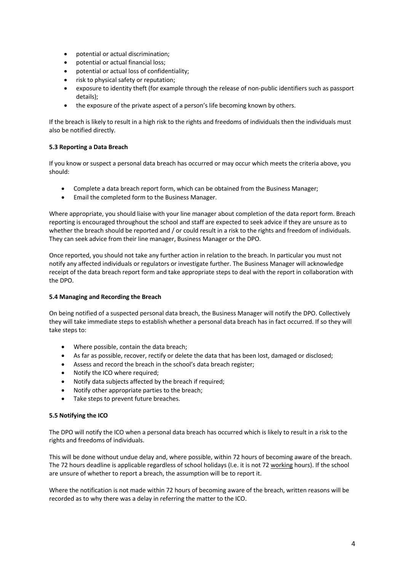- potential or actual discrimination;
- potential or actual financial loss;
- potential or actual loss of confidentiality;
- risk to physical safety or reputation;
- exposure to identity theft (for example through the release of non-public identifiers such as passport details);
- the exposure of the private aspect of a person's life becoming known by others.

If the breach is likely to result in a high risk to the rights and freedoms of individuals then the individuals must also be notified directly.

# **5.3 Reporting a Data Breach**

If you know or suspect a personal data breach has occurred or may occur which meets the criteria above, you should:

- Complete a data breach report form, which can be obtained from the Business Manager;
- Email the completed form to the Business Manager.

Where appropriate, you should liaise with your line manager about completion of the data report form. Breach reporting is encouraged throughout the school and staff are expected to seek advice if they are unsure as to whether the breach should be reported and / or could result in a risk to the rights and freedom of individuals. They can seek advice from their line manager, Business Manager or the DPO.

Once reported, you should not take any further action in relation to the breach. In particular you must not notify any affected individuals or regulators or investigate further. The Business Manager will acknowledge receipt of the data breach report form and take appropriate steps to deal with the report in collaboration with the DPO.

### **5.4 Managing and Recording the Breach**

On being notified of a suspected personal data breach, the Business Manager will notify the DPO. Collectively they will take immediate steps to establish whether a personal data breach has in fact occurred. If so they will take steps to:

- Where possible, contain the data breach;
- As far as possible, recover, rectify or delete the data that has been lost, damaged or disclosed;
- Assess and record the breach in the school's data breach register;
- Notify the ICO where required;
- Notify data subjects affected by the breach if required;
- Notify other appropriate parties to the breach;
- Take steps to prevent future breaches.

### **5.5 Notifying the ICO**

The DPO will notify the ICO when a personal data breach has occurred which is likely to result in a risk to the rights and freedoms of individuals.

This will be done without undue delay and, where possible, within 72 hours of becoming aware of the breach. The 72 hours deadline is applicable regardless of school holidays (I.e. it is not 72 working hours). If the school are unsure of whether to report a breach, the assumption will be to report it.

Where the notification is not made within 72 hours of becoming aware of the breach, written reasons will be recorded as to why there was a delay in referring the matter to the ICO.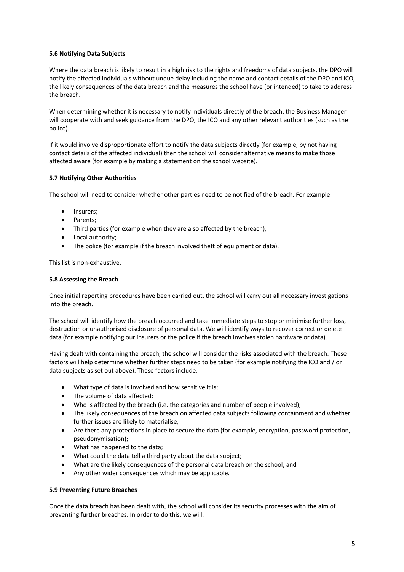# **5.6 Notifying Data Subjects**

Where the data breach is likely to result in a high risk to the rights and freedoms of data subjects, the DPO will notify the affected individuals without undue delay including the name and contact details of the DPO and ICO, the likely consequences of the data breach and the measures the school have (or intended) to take to address the breach.

When determining whether it is necessary to notify individuals directly of the breach, the Business Manager will cooperate with and seek guidance from the DPO, the ICO and any other relevant authorities (such as the police).

If it would involve disproportionate effort to notify the data subjects directly (for example, by not having contact details of the affected individual) then the school will consider alternative means to make those affected aware (for example by making a statement on the school website).

# **5.7 Notifying Other Authorities**

The school will need to consider whether other parties need to be notified of the breach. For example:

- Insurers:
- Parents;
- Third parties (for example when they are also affected by the breach);
- Local authority;
- The police (for example if the breach involved theft of equipment or data).

This list is non-exhaustive.

### **5.8 Assessing the Breach**

Once initial reporting procedures have been carried out, the school will carry out all necessary investigations into the breach.

The school will identify how the breach occurred and take immediate steps to stop or minimise further loss, destruction or unauthorised disclosure of personal data. We will identify ways to recover correct or delete data (for example notifying our insurers or the police if the breach involves stolen hardware or data).

Having dealt with containing the breach, the school will consider the risks associated with the breach. These factors will help determine whether further steps need to be taken (for example notifying the ICO and / or data subjects as set out above). These factors include:

- What type of data is involved and how sensitive it is;
- The volume of data affected;
- Who is affected by the breach (i.e. the categories and number of people involved);
- The likely consequences of the breach on affected data subjects following containment and whether further issues are likely to materialise;
- Are there any protections in place to secure the data (for example, encryption, password protection, pseudonymisation);
- What has happened to the data;
- What could the data tell a third party about the data subject;
- What are the likely consequences of the personal data breach on the school; and
- Any other wider consequences which may be applicable.

### **5.9 Preventing Future Breaches**

Once the data breach has been dealt with, the school will consider its security processes with the aim of preventing further breaches. In order to do this, we will: